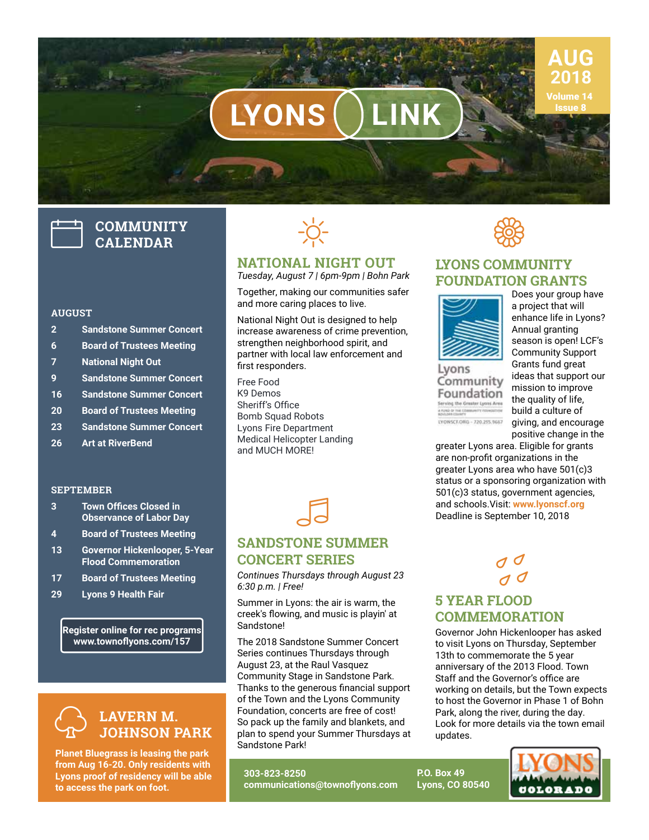# $LYONS$  LINK

## **COMMUNITY CALENDAR**

### **AUGUST**

- **2 Sandstone Summer Concert**
- **6 Board of Trustees Meeting**
- **7 National Night Out**
- **9 Sandstone Summer Concert**
- **16 Sandstone Summer Concert**
- **20 Board of Trustees Meeting**
- **23 Sandstone Summer Concert**
- **26 Art at RiverBend**

### **SEPTEMBER**

- **3 Town Offices Closed in Observance of Labor Day**
- **4 Board of Trustees Meeting**
- **13 Governor Hickenlooper, 5-Year Flood Commemoration**
- **17 Board of Trustees Meeting**
- **29 Lyons 9 Health Fair**

**Register online for rec programs www.townoflyons.com/157**



**Planet Bluegrass is leasing the park from Aug 16-20. Only residents with Lyons proof of residency will be able to access the park on foot.**



### **NATIONAL NIGHT OUT**

*Tuesday, August 7 | 6pm-9pm | Bohn Park*

Together, making our communities safer and more caring places to live.

National Night Out is designed to help increase awareness of crime prevention, strengthen neighborhood spirit, and partner with local law enforcement and first responders.

Free Food K9 Demos Sheriff's Office Bomb Squad Robots Lyons Fire Department Medical Helicopter Landing and MUCH MORE!



## **SANDSTONE SUMMER CONCERT SERIES**

*Continues Thursdays through August 23 6:30 p.m. | Free!*

Summer in Lyons: the air is warm, the creek's flowing, and music is playin' at Sandstone!

The 2018 Sandstone Summer Concert Series continues Thursdays through August 23, at the Raul Vasquez Community Stage in Sandstone Park. Thanks to the generous financial support of the Town and the Lyons Community Foundation, concerts are free of cost! So pack up the family and blankets, and plan to spend your Summer Thursdays at Sandstone Park!

**303-823-8250 communications@townoflyons.com** **SSS** 

## **LYONS COMMUNITY FOUNDATION GRANTS**



Lvons Community Foundation Ferving the Greater Lyons Area **Avec or the companity of** LYONSCF.ORG - 720.255.9667

Does your group have a project that will enhance life in Lyons? Annual granting season is open! LCF's Community Support Grants fund great ideas that support our mission to improve the quality of life, build a culture of giving, and encourage positive change in the

**AUG 2018** Volume 14

greater Lyons area. Eligible for grants are non-profit organizations in the greater Lyons area who have 501(c)3 status or a sponsoring organization with 501(c)3 status, government agencies, and schools.Visit: **www.lyonscf.org**  Deadline is September 10, 2018

## **5 YEAR FLOOD COMMEMORATION**  $J \overline{J}$

**P.O. Box 49 Lyons, CO 80540**

Governor John Hickenlooper has asked to visit Lyons on Thursday, September 13th to commemorate the 5 year anniversary of the 2013 Flood. Town Staff and the Governor's office are working on details, but the Town expects to host the Governor in Phase 1 of Bohn Park, along the river, during the day. Look for more details via the town email updates.